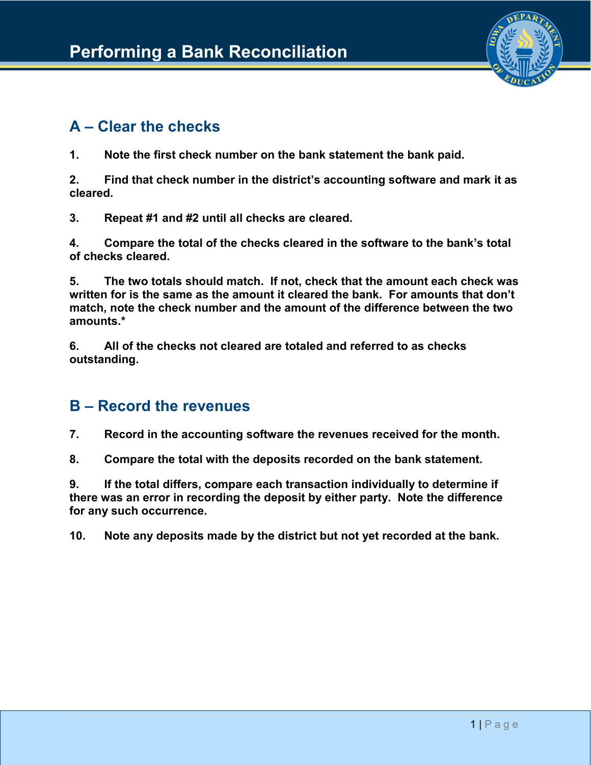

## **A – Clear the checks**

**1. Note the first check number on the bank statement the bank paid.**

**2. Find that check number in the district's accounting software and mark it as cleared.**

**3. Repeat #1 and #2 until all checks are cleared.**

**4. Compare the total of the checks cleared in the software to the bank's total of checks cleared.**

**5. The two totals should match. If not, check that the amount each check was written for is the same as the amount it cleared the bank. For amounts that don't match, note the check number and the amount of the difference between the two amounts.\***

**6. All of the checks not cleared are totaled and referred to as checks outstanding.**

### **B – Record the revenues**

**7. Record in the accounting software the revenues received for the month.**

**8. Compare the total with the deposits recorded on the bank statement.**

**9. If the total differs, compare each transaction individually to determine if there was an error in recording the deposit by either party. Note the difference for any such occurrence.**

**10. Note any deposits made by the district but not yet recorded at the bank.**